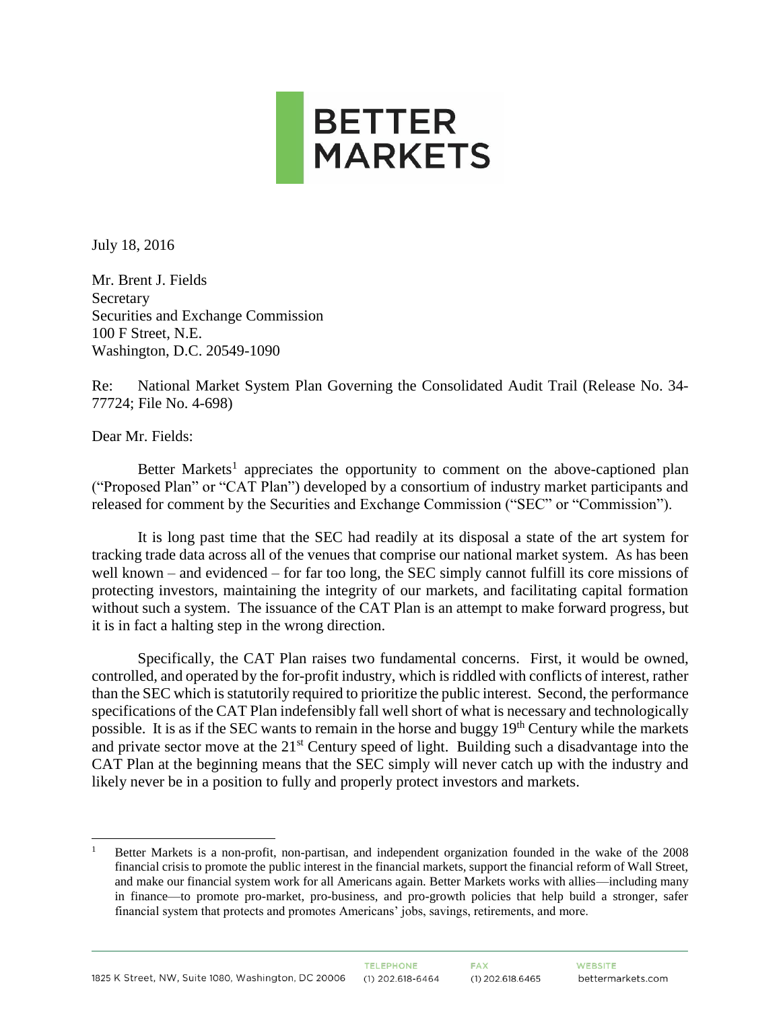

July 18, 2016

Mr. Brent J. Fields Secretary Securities and Exchange Commission 100 F Street, N.E. Washington, D.C. 20549-1090

Re: National Market System Plan Governing the Consolidated Audit Trail (Release No. 34- 77724; File No. 4-698)

Dear Mr. Fields:

 $\overline{a}$ 

Better Markets<sup>1</sup> appreciates the opportunity to comment on the above-captioned plan ("Proposed Plan" or "CAT Plan") developed by a consortium of industry market participants and released for comment by the Securities and Exchange Commission ("SEC" or "Commission").

It is long past time that the SEC had readily at its disposal a state of the art system for tracking trade data across all of the venues that comprise our national market system. As has been well known – and evidenced – for far too long, the SEC simply cannot fulfill its core missions of protecting investors, maintaining the integrity of our markets, and facilitating capital formation without such a system. The issuance of the CAT Plan is an attempt to make forward progress, but it is in fact a halting step in the wrong direction.

Specifically, the CAT Plan raises two fundamental concerns. First, it would be owned, controlled, and operated by the for-profit industry, which is riddled with conflicts of interest, rather than the SEC which is statutorily required to prioritize the public interest. Second, the performance specifications of the CAT Plan indefensibly fall well short of what is necessary and technologically possible. It is as if the SEC wants to remain in the horse and buggy 19<sup>th</sup> Century while the markets and private sector move at the 21<sup>st</sup> Century speed of light. Building such a disadvantage into the CAT Plan at the beginning means that the SEC simply will never catch up with the industry and likely never be in a position to fully and properly protect investors and markets.

<sup>1</sup> Better Markets is a non-profit, non-partisan, and independent organization founded in the wake of the 2008 financial crisis to promote the public interest in the financial markets, support the financial reform of Wall Street, and make our financial system work for all Americans again. Better Markets works with allies—including many in finance—to promote pro-market, pro-business, and pro-growth policies that help build a stronger, safer financial system that protects and promotes Americans' jobs, savings, retirements, and more.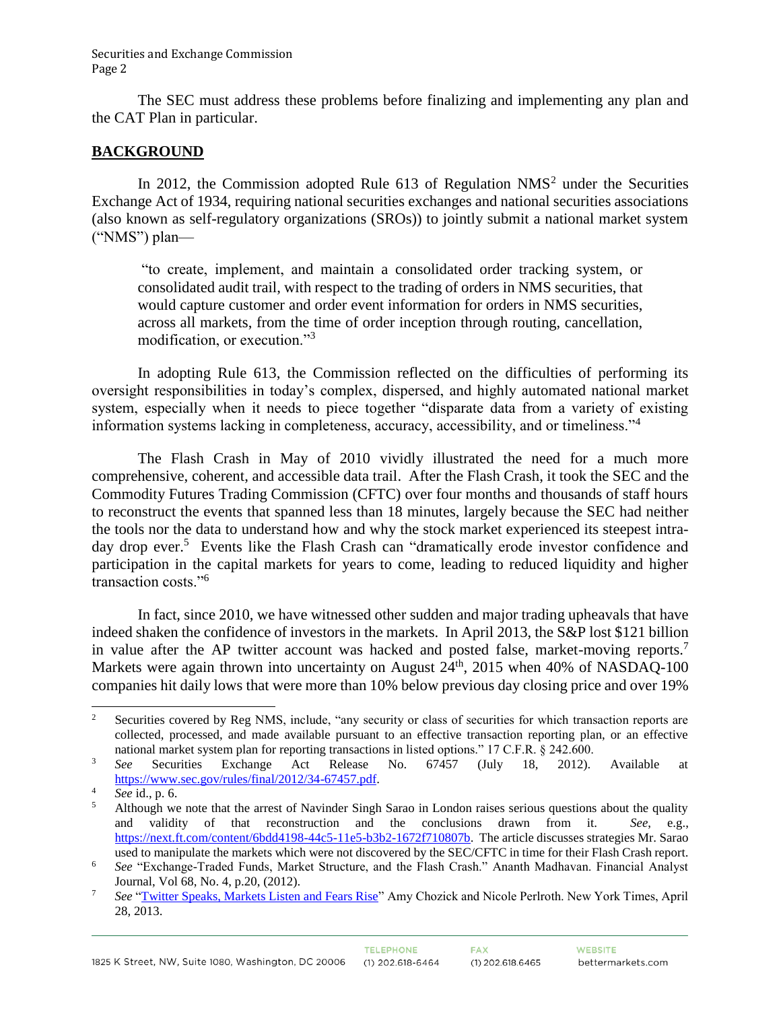The SEC must address these problems before finalizing and implementing any plan and the CAT Plan in particular.

### **BACKGROUND**

In 2012, the Commission adopted Rule  $613$  of Regulation NMS<sup>2</sup> under the Securities Exchange Act of 1934, requiring national securities exchanges and national securities associations (also known as self-regulatory organizations (SROs)) to jointly submit a national market system ("NMS") plan—

"to create, implement, and maintain a consolidated order tracking system, or consolidated audit trail, with respect to the trading of orders in NMS securities, that would capture customer and order event information for orders in NMS securities, across all markets, from the time of order inception through routing, cancellation, modification, or execution."<sup>3</sup>

In adopting Rule 613, the Commission reflected on the difficulties of performing its oversight responsibilities in today's complex, dispersed, and highly automated national market system, especially when it needs to piece together "disparate data from a variety of existing information systems lacking in completeness, accuracy, accessibility, and or timeliness."<sup>4</sup>

The Flash Crash in May of 2010 vividly illustrated the need for a much more comprehensive, coherent, and accessible data trail. After the Flash Crash, it took the SEC and the Commodity Futures Trading Commission (CFTC) over four months and thousands of staff hours to reconstruct the events that spanned less than 18 minutes, largely because the SEC had neither the tools nor the data to understand how and why the stock market experienced its steepest intraday drop ever.<sup>5</sup> Events like the Flash Crash can "dramatically erode investor confidence and participation in the capital markets for years to come, leading to reduced liquidity and higher transaction costs."<sup>6</sup>

In fact, since 2010, we have witnessed other sudden and major trading upheavals that have indeed shaken the confidence of investors in the markets. In April 2013, the S&P lost \$121 billion in value after the AP twitter account was hacked and posted false, market-moving reports.<sup>7</sup> Markets were again thrown into uncertainty on August  $24<sup>th</sup>$ , 2015 when 40% of NASDAQ-100 companies hit daily lows that were more than 10% below previous day closing price and over 19%

 $\sqrt{2}$ Securities covered by Reg NMS, include, "any security or class of securities for which transaction reports are collected, processed, and made available pursuant to an effective transaction reporting plan, or an effective national market system plan for reporting transactions in listed options." 17 C.F.R. § 242.600.

<sup>3</sup> *See* Securities Exchange Act Release No. 67457 (July 18, 2012). Available at [https://www.sec.gov/rules/final/2012/34-67457.pdf.](https://www.sec.gov/rules/final/2012/34-67457.pdf)

<sup>4</sup> *See* id., p. 6.

<sup>5</sup> Although we note that the arrest of Navinder Singh Sarao in London raises serious questions about the quality and validity of that reconstruction and the conclusions drawn from it. *See*, e.g., [https://next.ft.com/content/6bdd4198-44c5-11e5-b3b2-1672f710807b.](https://next.ft.com/content/6bdd4198-44c5-11e5-b3b2-1672f710807b) The article discusses strategies Mr. Sarao used to manipulate the markets which were not discovered by the SEC/CFTC in time for their Flash Crash report.

<sup>6</sup> *See* "Exchange-Traded Funds, Market Structure, and the Flash Crash." Ananth Madhavan. Financial Analyst Journal, Vol 68, No. 4, p.20, (2012).

<sup>7</sup> *See* ["Twitter Speaks, Markets Listen and Fears Rise"](http://www.nytimes.com/2013/04/29/business/media/social-medias-effects-on-markets-concern-regulators.html?_r=0) Amy Chozick and Nicole Perlroth. New York Times, April 28, 2013.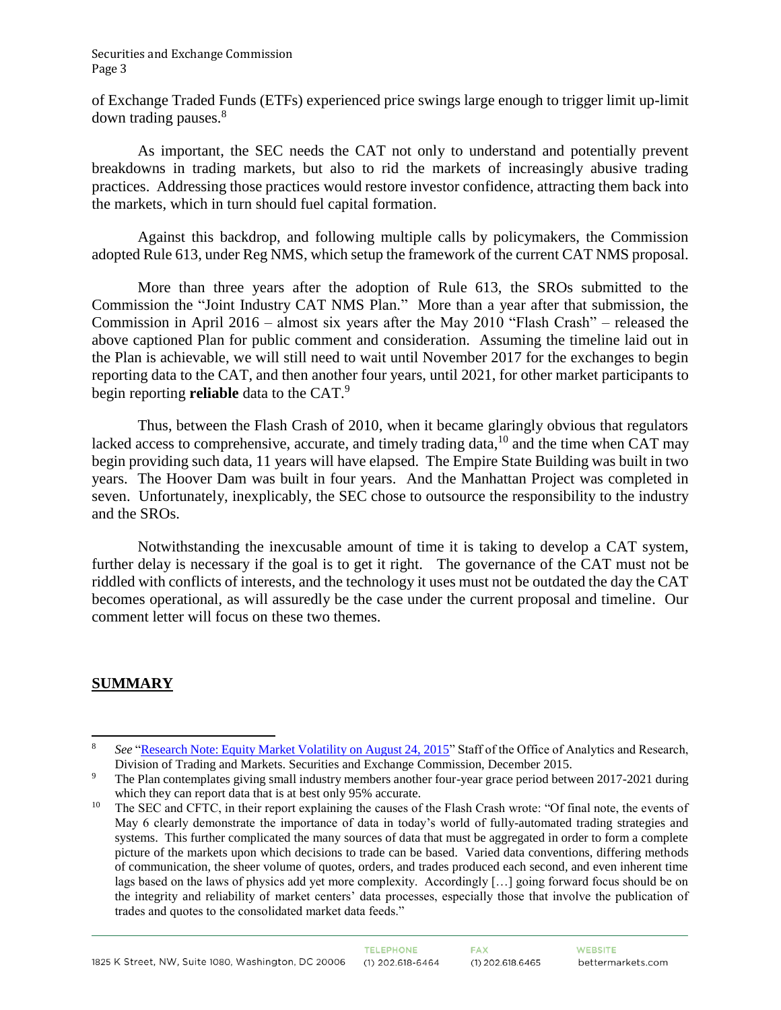of Exchange Traded Funds (ETFs) experienced price swings large enough to trigger limit up-limit down trading pauses.<sup>8</sup>

As important, the SEC needs the CAT not only to understand and potentially prevent breakdowns in trading markets, but also to rid the markets of increasingly abusive trading practices. Addressing those practices would restore investor confidence, attracting them back into the markets, which in turn should fuel capital formation.

Against this backdrop, and following multiple calls by policymakers, the Commission adopted Rule 613, under Reg NMS, which setup the framework of the current CAT NMS proposal.

More than three years after the adoption of Rule 613, the SROs submitted to the Commission the "Joint Industry CAT NMS Plan." More than a year after that submission, the Commission in April 2016 – almost six years after the May 2010 "Flash Crash" – released the above captioned Plan for public comment and consideration. Assuming the timeline laid out in the Plan is achievable, we will still need to wait until November 2017 for the exchanges to begin reporting data to the CAT, and then another four years, until 2021, for other market participants to begin reporting **reliable** data to the CAT. 9

Thus, between the Flash Crash of 2010, when it became glaringly obvious that regulators lacked access to comprehensive, accurate, and timely trading data,  $^{10}$  and the time when CAT may begin providing such data, 11 years will have elapsed. The Empire State Building was built in two years. The Hoover Dam was built in four years. And the Manhattan Project was completed in seven. Unfortunately, inexplicably, the SEC chose to outsource the responsibility to the industry and the SROs.

Notwithstanding the inexcusable amount of time it is taking to develop a CAT system, further delay is necessary if the goal is to get it right. The governance of the CAT must not be riddled with conflicts of interests, and the technology it uses must not be outdated the day the CAT becomes operational, as will assuredly be the case under the current proposal and timeline. Our comment letter will focus on these two themes.

# **SUMMARY**

 $\overline{a}$ 

<sup>8</sup> *See* "Research Note: [Equity Market Volatility](https://www.sec.gov/marketstructure/research/equity_market_volatility.pdf) on August 24, 2015" Staff of the Office of Analytics and Research, Division of Trading and Markets. Securities and Exchange Commission, December 2015.

<sup>&</sup>lt;sup>9</sup> The Plan contemplates giving small industry members another four-year grace period between 2017-2021 during which they can report data that is at best only 95% accurate.

<sup>&</sup>lt;sup>10</sup> The SEC and CFTC, in their report explaining the causes of the Flash Crash wrote: "Of final note, the events of May 6 clearly demonstrate the importance of data in today's world of fully-automated trading strategies and systems. This further complicated the many sources of data that must be aggregated in order to form a complete picture of the markets upon which decisions to trade can be based. Varied data conventions, differing methods of communication, the sheer volume of quotes, orders, and trades produced each second, and even inherent time lags based on the laws of physics add yet more complexity. Accordingly […] going forward focus should be on the integrity and reliability of market centers' data processes, especially those that involve the publication of trades and quotes to the consolidated market data feeds."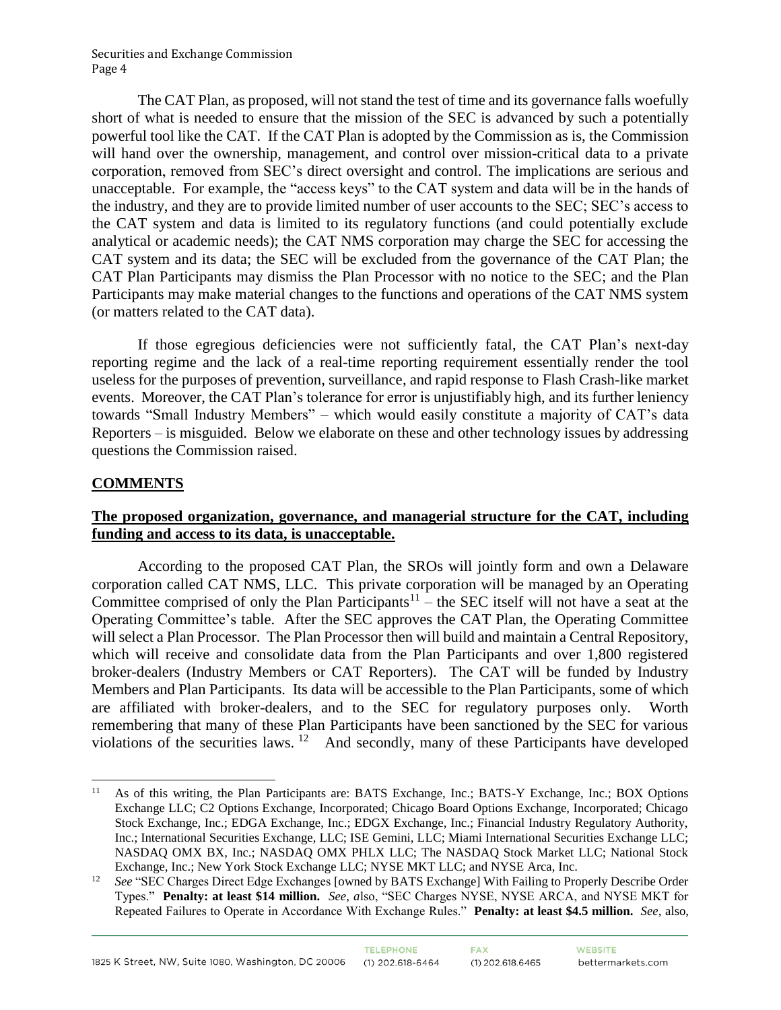The CAT Plan, as proposed, will not stand the test of time and its governance falls woefully short of what is needed to ensure that the mission of the SEC is advanced by such a potentially powerful tool like the CAT. If the CAT Plan is adopted by the Commission as is, the Commission will hand over the ownership, management, and control over mission-critical data to a private corporation, removed from SEC's direct oversight and control. The implications are serious and unacceptable. For example, the "access keys" to the CAT system and data will be in the hands of the industry, and they are to provide limited number of user accounts to the SEC; SEC's access to the CAT system and data is limited to its regulatory functions (and could potentially exclude analytical or academic needs); the CAT NMS corporation may charge the SEC for accessing the CAT system and its data; the SEC will be excluded from the governance of the CAT Plan; the CAT Plan Participants may dismiss the Plan Processor with no notice to the SEC; and the Plan Participants may make material changes to the functions and operations of the CAT NMS system (or matters related to the CAT data).

If those egregious deficiencies were not sufficiently fatal, the CAT Plan's next-day reporting regime and the lack of a real-time reporting requirement essentially render the tool useless for the purposes of prevention, surveillance, and rapid response to Flash Crash-like market events. Moreover, the CAT Plan's tolerance for error is unjustifiably high, and its further leniency towards "Small Industry Members" – which would easily constitute a majority of CAT's data Reporters – is misguided. Below we elaborate on these and other technology issues by addressing questions the Commission raised.

## **COMMENTS**

 $\overline{a}$ 

## **The proposed organization, governance, and managerial structure for the CAT, including funding and access to its data, is unacceptable.**

According to the proposed CAT Plan, the SROs will jointly form and own a Delaware corporation called CAT NMS, LLC. This private corporation will be managed by an Operating Committee comprised of only the Plan Participants<sup>11</sup> – the SEC itself will not have a seat at the Operating Committee's table. After the SEC approves the CAT Plan, the Operating Committee will select a Plan Processor. The Plan Processor then will build and maintain a Central Repository, which will receive and consolidate data from the Plan Participants and over 1,800 registered broker-dealers (Industry Members or CAT Reporters). The CAT will be funded by Industry Members and Plan Participants. Its data will be accessible to the Plan Participants, some of which are affiliated with broker-dealers, and to the SEC for regulatory purposes only. Worth remembering that many of these Plan Participants have been sanctioned by the SEC for various violations of the securities laws.  $12$  And secondly, many of these Participants have developed

<sup>&</sup>lt;sup>11</sup> As of this writing, the Plan Participants are: BATS Exchange, Inc.; BATS-Y Exchange, Inc.; BOX Options Exchange LLC; C2 Options Exchange, Incorporated; Chicago Board Options Exchange, Incorporated; Chicago Stock Exchange, Inc.; EDGA Exchange, Inc.; EDGX Exchange, Inc.; Financial Industry Regulatory Authority, Inc.; International Securities Exchange, LLC; ISE Gemini, LLC; Miami International Securities Exchange LLC; NASDAQ OMX BX, Inc.; NASDAQ OMX PHLX LLC; The NASDAQ Stock Market LLC; National Stock Exchange, Inc.; New York Stock Exchange LLC; NYSE MKT LLC; and NYSE Arca, Inc.

<sup>12</sup> *See* "SEC Charges Direct Edge Exchanges [owned by BATS Exchange] With Failing to Properly Describe Order Types." **Penalty: at least \$14 million.** *See, a*lso, "SEC Charges NYSE, NYSE ARCA, and NYSE MKT for Repeated Failures to Operate in Accordance With Exchange Rules." **Penalty: at least \$4.5 million.** *See,* also,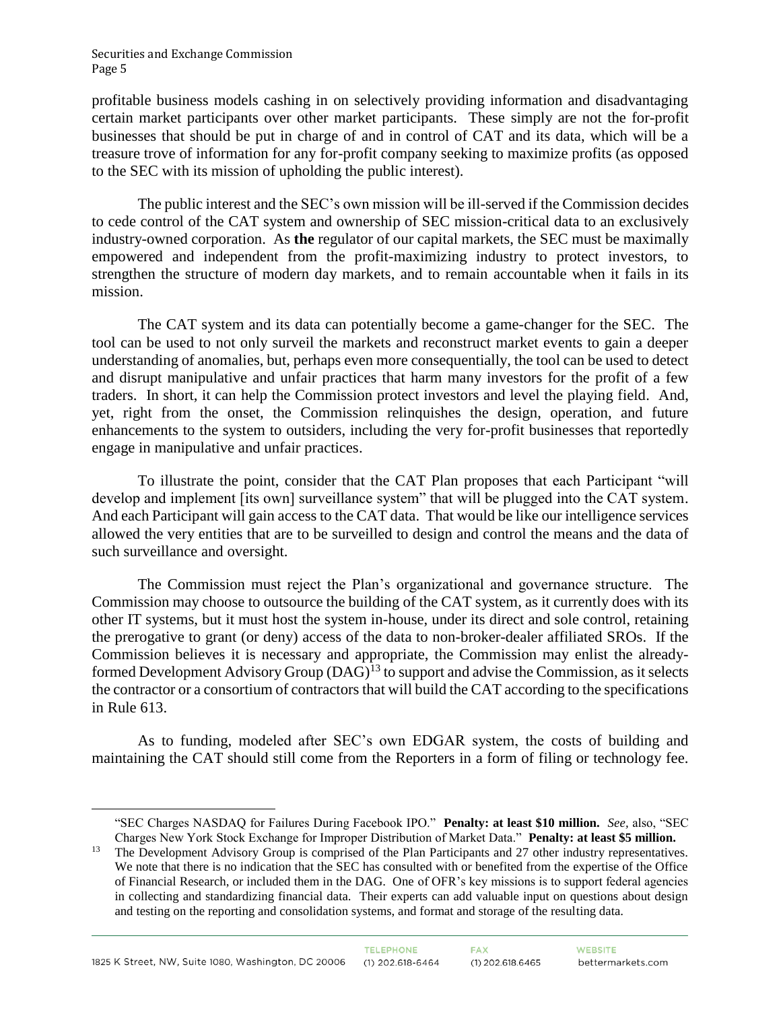$\overline{a}$ 

profitable business models cashing in on selectively providing information and disadvantaging certain market participants over other market participants. These simply are not the for-profit businesses that should be put in charge of and in control of CAT and its data, which will be a treasure trove of information for any for-profit company seeking to maximize profits (as opposed to the SEC with its mission of upholding the public interest).

The public interest and the SEC's own mission will be ill-served if the Commission decides to cede control of the CAT system and ownership of SEC mission-critical data to an exclusively industry-owned corporation. As **the** regulator of our capital markets, the SEC must be maximally empowered and independent from the profit-maximizing industry to protect investors, to strengthen the structure of modern day markets, and to remain accountable when it fails in its mission.

The CAT system and its data can potentially become a game-changer for the SEC. The tool can be used to not only surveil the markets and reconstruct market events to gain a deeper understanding of anomalies, but, perhaps even more consequentially, the tool can be used to detect and disrupt manipulative and unfair practices that harm many investors for the profit of a few traders. In short, it can help the Commission protect investors and level the playing field. And, yet, right from the onset, the Commission relinquishes the design, operation, and future enhancements to the system to outsiders, including the very for-profit businesses that reportedly engage in manipulative and unfair practices.

To illustrate the point, consider that the CAT Plan proposes that each Participant "will develop and implement [its own] surveillance system" that will be plugged into the CAT system. And each Participant will gain access to the CAT data. That would be like our intelligence services allowed the very entities that are to be surveilled to design and control the means and the data of such surveillance and oversight.

The Commission must reject the Plan's organizational and governance structure. The Commission may choose to outsource the building of the CAT system, as it currently does with its other IT systems, but it must host the system in-house, under its direct and sole control, retaining the prerogative to grant (or deny) access of the data to non-broker-dealer affiliated SROs. If the Commission believes it is necessary and appropriate, the Commission may enlist the alreadyformed Development Advisory Group  $(DAG)^{13}$  to support and advise the Commission, as it selects the contractor or a consortium of contractors that will build the CAT according to the specifications in Rule 613.

As to funding, modeled after SEC's own EDGAR system, the costs of building and maintaining the CAT should still come from the Reporters in a form of filing or technology fee.

<sup>&</sup>quot;SEC Charges NASDAQ for Failures During Facebook IPO." **Penalty: at least \$10 million.** *See,* also, "SEC Charges New York Stock Exchange for Improper Distribution of Market Data." **Penalty: at least \$5 million.** 

<sup>&</sup>lt;sup>13</sup> The Development Advisory Group is comprised of the Plan Participants and 27 other industry representatives. We note that there is no indication that the SEC has consulted with or benefited from the expertise of the Office of Financial Research, or included them in the DAG. One of OFR's key missions is to support federal agencies in collecting and standardizing financial data. Their experts can add valuable input on questions about design and testing on the reporting and consolidation systems, and format and storage of the resulting data.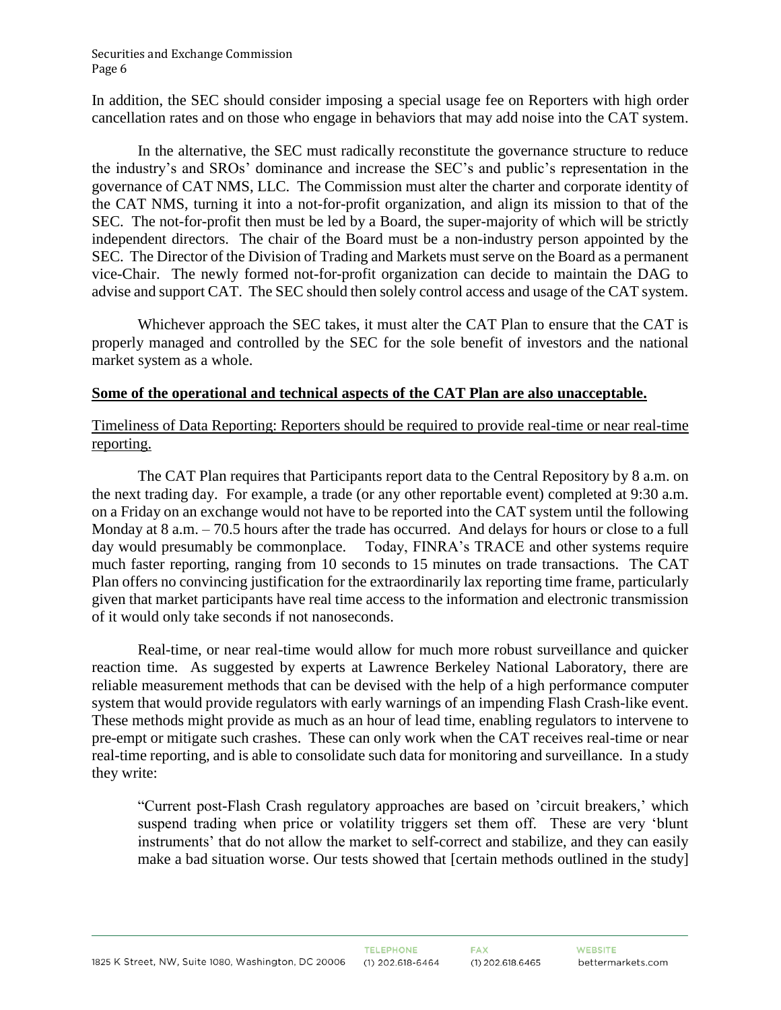In addition, the SEC should consider imposing a special usage fee on Reporters with high order cancellation rates and on those who engage in behaviors that may add noise into the CAT system.

In the alternative, the SEC must radically reconstitute the governance structure to reduce the industry's and SROs' dominance and increase the SEC's and public's representation in the governance of CAT NMS, LLC. The Commission must alter the charter and corporate identity of the CAT NMS, turning it into a not-for-profit organization, and align its mission to that of the SEC. The not-for-profit then must be led by a Board, the super-majority of which will be strictly independent directors. The chair of the Board must be a non-industry person appointed by the SEC. The Director of the Division of Trading and Markets must serve on the Board as a permanent vice-Chair. The newly formed not-for-profit organization can decide to maintain the DAG to advise and support CAT. The SEC should then solely control access and usage of the CAT system.

Whichever approach the SEC takes, it must alter the CAT Plan to ensure that the CAT is properly managed and controlled by the SEC for the sole benefit of investors and the national market system as a whole.

#### **Some of the operational and technical aspects of the CAT Plan are also unacceptable.**

Timeliness of Data Reporting: Reporters should be required to provide real-time or near real-time reporting.

The CAT Plan requires that Participants report data to the Central Repository by 8 a.m. on the next trading day. For example, a trade (or any other reportable event) completed at 9:30 a.m. on a Friday on an exchange would not have to be reported into the CAT system until the following Monday at 8 a.m. – 70.5 hours after the trade has occurred. And delays for hours or close to a full day would presumably be commonplace. Today, FINRA's TRACE and other systems require much faster reporting, ranging from 10 seconds to 15 minutes on trade transactions. The CAT Plan offers no convincing justification for the extraordinarily lax reporting time frame, particularly given that market participants have real time access to the information and electronic transmission of it would only take seconds if not nanoseconds.

Real-time, or near real-time would allow for much more robust surveillance and quicker reaction time. As suggested by experts at Lawrence Berkeley National Laboratory, there are reliable measurement methods that can be devised with the help of a high performance computer system that would provide regulators with early warnings of an impending Flash Crash-like event. These methods might provide as much as an hour of lead time, enabling regulators to intervene to pre-empt or mitigate such crashes. These can only work when the CAT receives real-time or near real-time reporting, and is able to consolidate such data for monitoring and surveillance. In a study they write:

"Current post-Flash Crash regulatory approaches are based on 'circuit breakers,' which suspend trading when price or volatility triggers set them off. These are very 'blunt instruments' that do not allow the market to self-correct and stabilize, and they can easily make a bad situation worse. Our tests showed that [certain methods outlined in the study]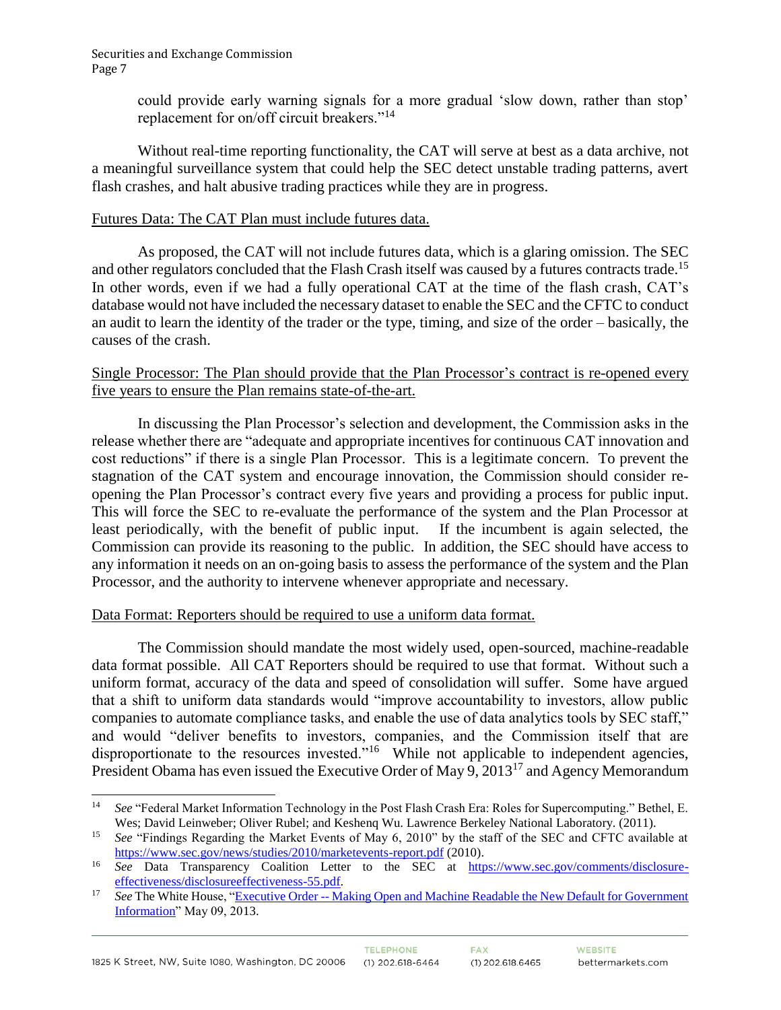could provide early warning signals for a more gradual 'slow down, rather than stop' replacement for on/off circuit breakers."<sup>14</sup>

Without real-time reporting functionality, the CAT will serve at best as a data archive, not a meaningful surveillance system that could help the SEC detect unstable trading patterns, avert flash crashes, and halt abusive trading practices while they are in progress.

#### Futures Data: The CAT Plan must include futures data.

As proposed, the CAT will not include futures data, which is a glaring omission. The SEC and other regulators concluded that the Flash Crash itself was caused by a futures contracts trade.<sup>15</sup> In other words, even if we had a fully operational CAT at the time of the flash crash, CAT's database would not have included the necessary dataset to enable the SEC and the CFTC to conduct an audit to learn the identity of the trader or the type, timing, and size of the order – basically, the causes of the crash.

#### Single Processor: The Plan should provide that the Plan Processor's contract is re-opened every five years to ensure the Plan remains state-of-the-art.

In discussing the Plan Processor's selection and development, the Commission asks in the release whether there are "adequate and appropriate incentives for continuous CAT innovation and cost reductions" if there is a single Plan Processor. This is a legitimate concern. To prevent the stagnation of the CAT system and encourage innovation, the Commission should consider reopening the Plan Processor's contract every five years and providing a process for public input. This will force the SEC to re-evaluate the performance of the system and the Plan Processor at least periodically, with the benefit of public input. If the incumbent is again selected, the Commission can provide its reasoning to the public. In addition, the SEC should have access to any information it needs on an on-going basis to assess the performance of the system and the Plan Processor, and the authority to intervene whenever appropriate and necessary.

#### Data Format: Reporters should be required to use a uniform data format.

The Commission should mandate the most widely used, open-sourced, machine-readable data format possible. All CAT Reporters should be required to use that format. Without such a uniform format, accuracy of the data and speed of consolidation will suffer. Some have argued that a shift to uniform data standards would "improve accountability to investors, allow public companies to automate compliance tasks, and enable the use of data analytics tools by SEC staff," and would "deliver benefits to investors, companies, and the Commission itself that are disproportionate to the resources invested."<sup>16</sup> While not applicable to independent agencies, President Obama has even issued the Executive Order of May 9, 2013<sup>17</sup> and Agency Memorandum

 $\overline{a}$ <sup>14</sup> *See* "Federal Market Information Technology in the Post Flash Crash Era: Roles for Supercomputing." Bethel, E. Wes; David Leinweber; Oliver Rubel; and Keshenq Wu. Lawrence Berkeley National Laboratory. (2011).

<sup>&</sup>lt;sup>15</sup> *See* "Findings Regarding the Market Events of May 6, 2010" by the staff of the SEC and CFTC available at <https://www.sec.gov/news/studies/2010/marketevents-report.pdf> (2010).

<sup>16</sup> *See* Data Transparency Coalition Letter to the SEC at [https://www.sec.gov/comments/disclosure](https://www.sec.gov/comments/disclosure-effectiveness/disclosureeffectiveness-55.pdf)[effectiveness/disclosureeffectiveness-55.pdf.](https://www.sec.gov/comments/disclosure-effectiveness/disclosureeffectiveness-55.pdf)

<sup>&</sup>lt;sup>17</sup> *See* The White House, "Executive Order -- Making Open and Machine Readable the New Default for Government [Information"](https://www.whitehouse.gov/the-press-office/2013/05/09/executive-order-making-open-and-machine-readable-new-default-government-) May 09, 2013.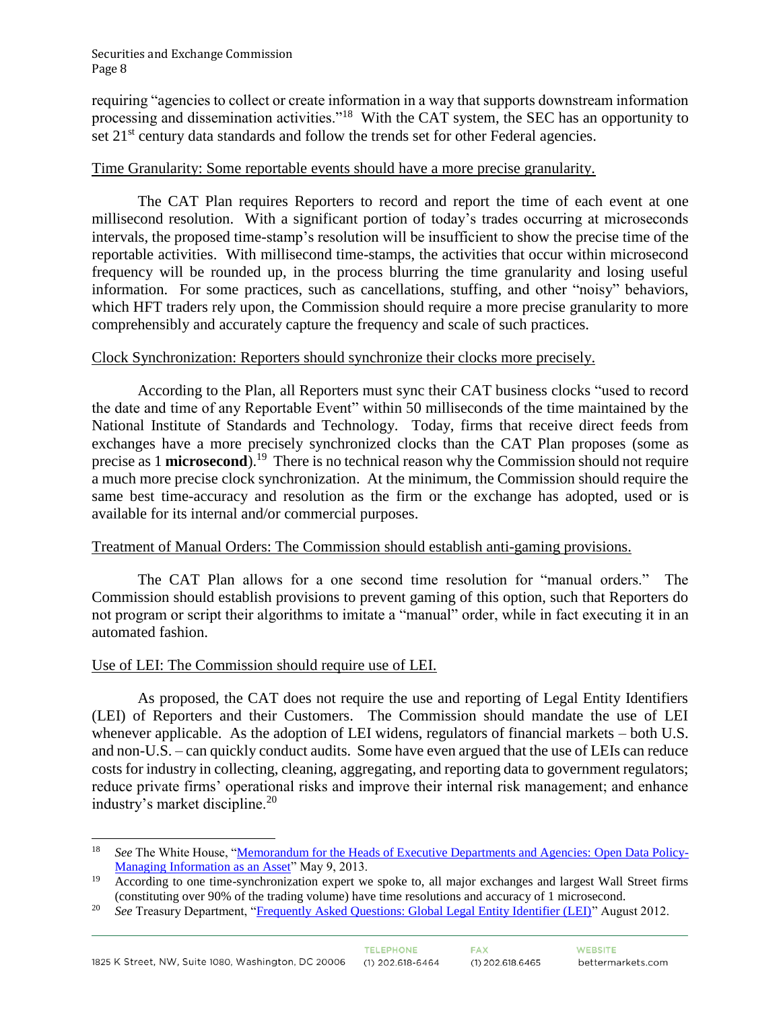requiring "agencies to collect or create information in a way that supports downstream information processing and dissemination activities."<sup>18</sup> With the CAT system, the SEC has an opportunity to set 21<sup>st</sup> century data standards and follow the trends set for other Federal agencies.

### Time Granularity: Some reportable events should have a more precise granularity.

The CAT Plan requires Reporters to record and report the time of each event at one millisecond resolution. With a significant portion of today's trades occurring at microseconds intervals, the proposed time-stamp's resolution will be insufficient to show the precise time of the reportable activities. With millisecond time-stamps, the activities that occur within microsecond frequency will be rounded up, in the process blurring the time granularity and losing useful information. For some practices, such as cancellations, stuffing, and other "noisy" behaviors, which HFT traders rely upon, the Commission should require a more precise granularity to more comprehensibly and accurately capture the frequency and scale of such practices.

#### Clock Synchronization: Reporters should synchronize their clocks more precisely.

According to the Plan, all Reporters must sync their CAT business clocks "used to record the date and time of any Reportable Event" within 50 milliseconds of the time maintained by the National Institute of Standards and Technology. Today, firms that receive direct feeds from exchanges have a more precisely synchronized clocks than the CAT Plan proposes (some as precise as 1 **microsecond**).<sup>19</sup> There is no technical reason why the Commission should not require a much more precise clock synchronization. At the minimum, the Commission should require the same best time-accuracy and resolution as the firm or the exchange has adopted, used or is available for its internal and/or commercial purposes.

## Treatment of Manual Orders: The Commission should establish anti-gaming provisions.

The CAT Plan allows for a one second time resolution for "manual orders." The Commission should establish provisions to prevent gaming of this option, such that Reporters do not program or script their algorithms to imitate a "manual" order, while in fact executing it in an automated fashion.

#### Use of LEI: The Commission should require use of LEI.

As proposed, the CAT does not require the use and reporting of Legal Entity Identifiers (LEI) of Reporters and their Customers. The Commission should mandate the use of LEI whenever applicable. As the adoption of LEI widens, regulators of financial markets – both U.S. and non-U.S. – can quickly conduct audits. Some have even argued that the use of LEIs can reduce costs for industry in collecting, cleaning, aggregating, and reporting data to government regulators; reduce private firms' operational risks and improve their internal risk management; and enhance industry's market discipline.<sup>20</sup>

 $\overline{a}$ <sup>18</sup> *See* The White House, ["Memorandum for the Heads of Executive Departments and Agencies:](https://www.whitehouse.gov/sites/default/files/omb/memoranda/2013/m-13-13.pdf) Open Data Policy-[Managing Information as an Asset"](https://www.whitehouse.gov/sites/default/files/omb/memoranda/2013/m-13-13.pdf) May 9, 2013.

<sup>19</sup> According to one time-synchronization expert we spoke to, all major exchanges and largest Wall Street firms (constituting over 90% of the trading volume) have time resolutions and accuracy of 1 microsecond.

<sup>&</sup>lt;sup>20</sup> *See* Treasury Department, ["Frequently Asked Questions: Global Legal Entity Identifier \(LEI\)"](https://www.treasury.gov/initiatives/wsr/ofr/Documents/LEI_FAQs_August2012_FINAL.pdf) August 2012.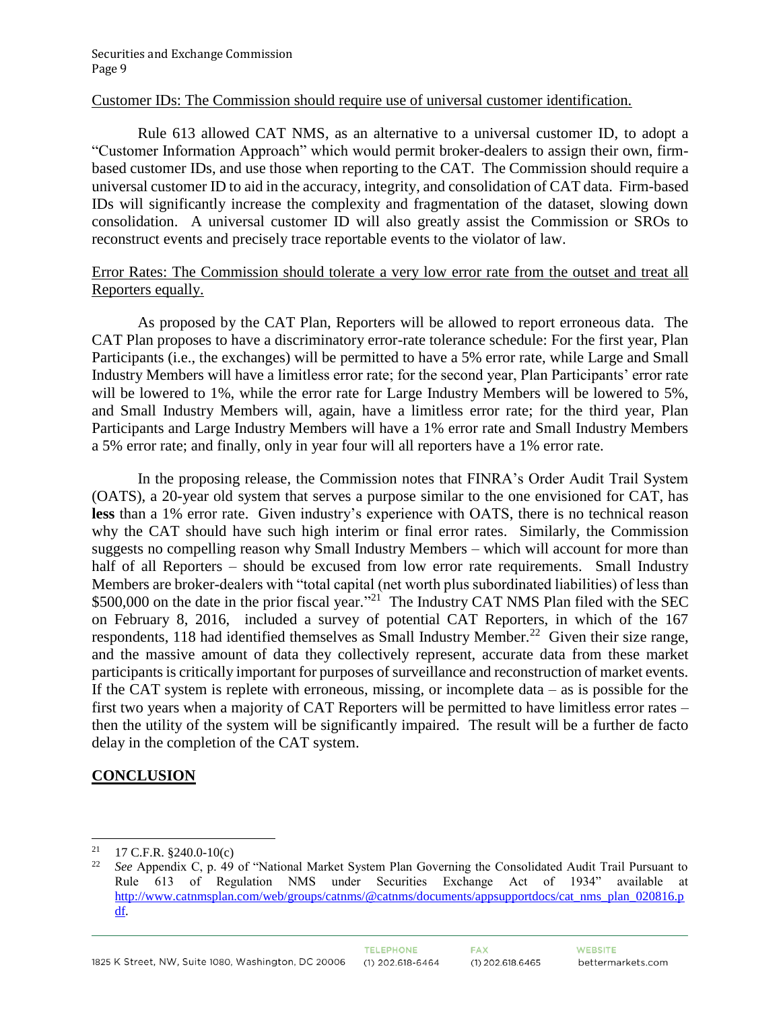#### Customer IDs: The Commission should require use of universal customer identification.

Rule 613 allowed CAT NMS, as an alternative to a universal customer ID, to adopt a "Customer Information Approach" which would permit broker-dealers to assign their own, firmbased customer IDs, and use those when reporting to the CAT. The Commission should require a universal customer ID to aid in the accuracy, integrity, and consolidation of CAT data. Firm-based IDs will significantly increase the complexity and fragmentation of the dataset, slowing down consolidation. A universal customer ID will also greatly assist the Commission or SROs to reconstruct events and precisely trace reportable events to the violator of law.

#### Error Rates: The Commission should tolerate a very low error rate from the outset and treat all Reporters equally.

As proposed by the CAT Plan, Reporters will be allowed to report erroneous data. The CAT Plan proposes to have a discriminatory error-rate tolerance schedule: For the first year, Plan Participants (i.e., the exchanges) will be permitted to have a 5% error rate, while Large and Small Industry Members will have a limitless error rate; for the second year, Plan Participants' error rate will be lowered to 1%, while the error rate for Large Industry Members will be lowered to 5%, and Small Industry Members will, again, have a limitless error rate; for the third year, Plan Participants and Large Industry Members will have a 1% error rate and Small Industry Members a 5% error rate; and finally, only in year four will all reporters have a 1% error rate.

In the proposing release, the Commission notes that FINRA's Order Audit Trail System (OATS), a 20-year old system that serves a purpose similar to the one envisioned for CAT, has **less** than a 1% error rate. Given industry's experience with OATS, there is no technical reason why the CAT should have such high interim or final error rates. Similarly, the Commission suggests no compelling reason why Small Industry Members – which will account for more than half of all Reporters – should be excused from low error rate requirements. Small Industry Members are broker-dealers with "total capital (net worth plus subordinated liabilities) of less than \$500,000 on the date in the prior fiscal year."<sup>21</sup> The Industry CAT NMS Plan filed with the SEC on February 8, 2016, included a survey of potential CAT Reporters, in which of the 167 respondents, 118 had identified themselves as Small Industry Member.<sup>22</sup> Given their size range, and the massive amount of data they collectively represent, accurate data from these market participants is critically important for purposes of surveillance and reconstruction of market events. If the CAT system is replete with erroneous, missing, or incomplete data  $-$  as is possible for the first two years when a majority of CAT Reporters will be permitted to have limitless error rates – then the utility of the system will be significantly impaired. The result will be a further de facto delay in the completion of the CAT system.

## **CONCLUSION**

 $\overline{a}$ <sup>21</sup> 17 C.F.R. §240.0-10(c)<br><sup>22</sup> See Appendix C. p. 40

<sup>22</sup> *See* Appendix C, p. 49 of "National Market System Plan Governing the Consolidated Audit Trail Pursuant to Rule 613 of Regulation NMS under Securities Exchange Act of 1934" available at [http://www.catnmsplan.com/web/groups/catnms/@catnms/documents/appsupportdocs/cat\\_nms\\_plan\\_020816.p](http://www.catnmsplan.com/web/groups/catnms/@catnms/documents/appsupportdocs/cat_nms_plan_020816.pdf) [df.](http://www.catnmsplan.com/web/groups/catnms/@catnms/documents/appsupportdocs/cat_nms_plan_020816.pdf)